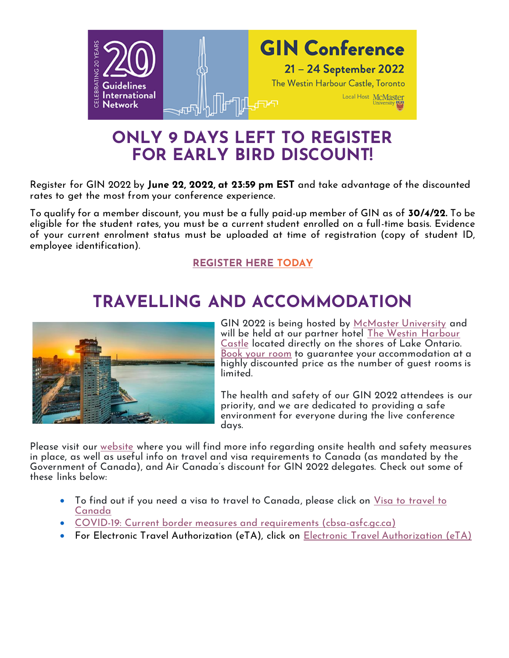

## **ONLY 9 DAYS LEFT TO REGISTER FOR EARLY BIRD DISCOUNT!**

Register for GIN 2022 by **June 22, 2022, at 23:59 pm EST** and take advantage of the discounted rates to get the most from your conference experience.

To qualify for a member discount, you must be a fully paid-up member of GIN as of **30/4/22.** To be eligible for the student rates, you must be a current student enrolled on a full-time basis. Evidence of your current enrolment status must be uploaded at time of registration (copy of student ID, employee identification).

#### **[REGISTER](https://icsevents.eventsair.com/gin2022/reg2022/Site/Landing) HERE TODAY**

## **TRAVELLING AND ACCOMMODATION**



GIN 2022 is being hosted by [McMaster University](https://www.mcmaster.ca/) and will be held at our partner hotel [The Westin Harbour](https://www.marriott.com/en-us/hotels/yyzwi-the-westin-harbour-castle-toronto/overview/)  [Castle](https://www.marriott.com/en-us/hotels/yyzwi-the-westin-harbour-castle-toronto/overview/) located directly on the shores of Lake Ontario. [Book your room](https://book.passkey.com/event/50283175/owner/14756890/landing) to guarantee your accommodation at a highly discounted price as the number of guest rooms is limited.

The health and safety of our GIN 2022 attendees is our priority, and we are dedicated to providing a safe environment for everyone during the live conference days.

Please visit our [website](https://view.officeapps.live.com/op/view.aspx?src=https%3A%2F%2Fg-i-n.net%2Fwp-content%2Fuploads%2F2022%2F06%2FTravel-To-Canada-and-Entry-Requirements-for-GIN-2022.docx&wdOrigin=BROWSELINK) where you will find more info regarding onsite health and safety measures in place, as well as useful info on travel and visa requirements to Canada (as mandated by the Government of Canada), and Air Canada's discount for GIN 2022 delegates. Check out some of these links below:

- To find out if you need a visa to travel to Canada, please click on Visa to [travel](http://mail.eventsairmail.com/ls/click?upn=WAy5dHdZ6U8WrTaB-2BI4gjBbsQKqTDZTu14kncZR5QgsjxZYO-2FJOg6OWle4fMPSPRQyOTLVD0Rt0UIJKAEJ81QA-3D-3D2i-w_t-2BykrnbXBAQKPCqj-2FwZj0yJTaDwCCjn51fllC0yRII0YwQsdeW4Taj6-2FVB2PrY-2BZDboWjiVcoAgFQLdZA24xbrvA2JTb1q0q3v9B9x1af5udGa2bVxfivUUZ9-2FnIIArC0E0Ew7BmnQj-2BqtiU-2BWR6ofKtC0YfHtJvcijm16OQYc0AfuZWYymrWf2adLoDwzhZGbUVlFUZuJPBXfOkwhRXR0HZIWfCEUmBaF-2FsLrxLiGSOLCR5-2BFa7L41qdFw7R242QrJ57rN4qfgXJI8T61oWUe9K-2B90-2FtQN5hPm6DxTTek-2F1nb7UJ-2BptNB3FQebKXz14Xqh53QfImdX-2B7oVn2WknZvILQl-2BCAzpiiPfAqxGLmr3P2AT3iA-2Fc1VxSlTmBckeKZRCn-2FmpzLiYR8rfSgYc-2BWw-3D-3D) to [Canada](http://mail.eventsairmail.com/ls/click?upn=WAy5dHdZ6U8WrTaB-2BI4gjBbsQKqTDZTu14kncZR5QgsjxZYO-2FJOg6OWle4fMPSPRQyOTLVD0Rt0UIJKAEJ81QA-3D-3D2i-w_t-2BykrnbXBAQKPCqj-2FwZj0yJTaDwCCjn51fllC0yRII0YwQsdeW4Taj6-2FVB2PrY-2BZDboWjiVcoAgFQLdZA24xbrvA2JTb1q0q3v9B9x1af5udGa2bVxfivUUZ9-2FnIIArC0E0Ew7BmnQj-2BqtiU-2BWR6ofKtC0YfHtJvcijm16OQYc0AfuZWYymrWf2adLoDwzhZGbUVlFUZuJPBXfOkwhRXR0HZIWfCEUmBaF-2FsLrxLiGSOLCR5-2BFa7L41qdFw7R242QrJ57rN4qfgXJI8T61oWUe9K-2B90-2FtQN5hPm6DxTTek-2F1nb7UJ-2BptNB3FQebKXz14Xqh53QfImdX-2B7oVn2WknZvILQl-2BCAzpiiPfAqxGLmr3P2AT3iA-2Fc1VxSlTmBckeKZRCn-2FmpzLiYR8rfSgYc-2BWw-3D-3D)
- COVID-19: Current border measures and requirements [\(cbsa-asfc.gc.ca\)](https://cbsa-asfc.gc.ca/services/covid/menu-eng.html)
- For Electronic Travel Authorization (eTA), click on [Electronic Travel Authorization](http://www.cic.gc.ca/english/visit/eta.asp) (eTA)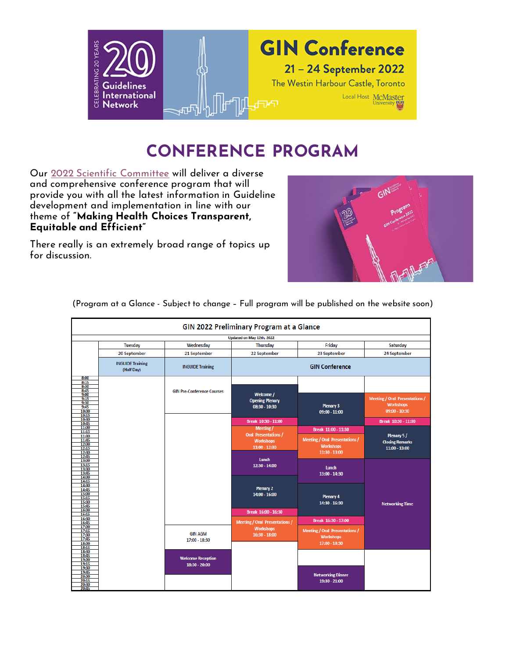

## **CONFERENCE PROGRAM**

Our [2022 Scientific Committee](https://g-i-n.net/conference_2022/gin-conference-programme/scientific-committee/) will deliver a diverse and comprehensive conference program that will provide you with all the latest information in Guideline development and implementation in line with our theme of **"Making Health Choices Transparent, Equitable and Efficient"**

There really is an extremely broad range of topics up for discussion.



| GIN 2022 Preliminary Program at a Glance                    |                                       |                                           |                                                                  |                                                                            |                                                                            |
|-------------------------------------------------------------|---------------------------------------|-------------------------------------------|------------------------------------------------------------------|----------------------------------------------------------------------------|----------------------------------------------------------------------------|
| Updated on May 12th, 2022                                   |                                       |                                           |                                                                  |                                                                            |                                                                            |
|                                                             | Tuesday                               | Wednesday                                 | Thursday                                                         | Friday                                                                     | Saturday                                                                   |
|                                                             | 20 September                          | 21 September                              | 22 September                                                     | 23 September                                                               | 24 September                                                               |
|                                                             | <b>INGUIDE Training</b><br>(Half Day) | <b>INGUIDE Training</b>                   | <b>GIN Conference</b>                                            |                                                                            |                                                                            |
| 8:00<br>8:15<br>8:30<br>8:45                                |                                       | <b>GIN Pre-Conference Courses</b>         |                                                                  |                                                                            |                                                                            |
| 9:00<br>9:15<br>9:30<br>9:45<br>10:00<br>10:15              |                                       |                                           | Welcome /<br><b>Opening Plenary</b><br>08:30 - 10:30             | <b>Plenary 3</b><br>09:00 - 11:00                                          | <b>Meeting / Oral Presentations /</b><br><b>Workshops</b><br>09:00 - 10:30 |
| 10:30<br>10:45                                              |                                       |                                           | Break 10:30 - 11:00                                              |                                                                            | Break 10:30 - 11:00                                                        |
| 11:00<br>11:15                                              |                                       |                                           | <b>Meeting/</b>                                                  | Break 11:00 - 11:30                                                        |                                                                            |
| 11:30<br>11:45<br>12:00<br>12:15<br>12:30<br>12:45          |                                       |                                           | <b>Oral Presentations /</b><br><b>Workshops</b><br>11:00 - 12:30 | <b>Meeting / Oral Presentations /</b><br><b>Workshops</b><br>11:30 - 13:00 | Plenary 5/<br><b>Closing Remarks</b><br>11:00 - 13:00                      |
| 13:00<br>13:15<br>13:30<br>13:45<br>14:00                   |                                       |                                           | Lunch<br>12:30 - 14:00                                           | Lunch<br>13:00 - 14:30                                                     |                                                                            |
| 14:15<br>14:30<br>14:45<br>15:00<br>15:15<br>15:30<br>15:45 |                                       |                                           | Plenary 2<br>14:00 - 16:00                                       | Plenary 4<br>14:30 - 16:30                                                 | <b>Networking Time</b>                                                     |
| 16:00<br>16:15                                              |                                       |                                           | Break 16:00 - 16:30                                              |                                                                            |                                                                            |
| 16:30<br>16:45                                              |                                       |                                           | <b>Meeting / Oral Presentations /</b>                            | Break 16:30 - 17:00                                                        |                                                                            |
| 17:00<br>17:15<br>17:30<br>17:45<br>18:00                   |                                       | <b>GIN AGM</b><br>17:00 - 18:30           | <b>Workshops</b><br>16:30 - 18:00                                | <b>Meeting / Oral Presentations /</b><br><b>Workshops</b><br>17:00 - 18:30 |                                                                            |
| 18:15<br>18:30<br>18:45<br>19:00<br>19:15                   |                                       | <b>Welcome Reception</b><br>18:30 - 20:00 |                                                                  |                                                                            |                                                                            |
| 19:30<br>19:45<br>20:00<br>20:15<br>20:30<br>20:45          |                                       |                                           |                                                                  | <b>Networking Dinner</b><br>19:30 - 21:00                                  |                                                                            |

(Program at a Glance - Subject to change – Full program will be published on the website soon)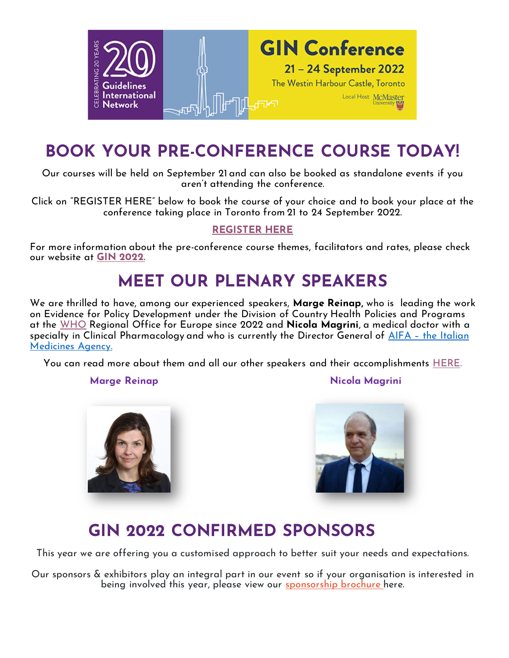

## **BOOK YOUR PRE-CONFERENCE COURSE TODAY!**

Our courses will be held on September 21 and can also be booked as standalone events if you aren't attending the conference.

Click on "REGISTER HERE" below to book the course of your choice and to book your place at the conference taking place in Toronto from 21 to 24 September 2022.

### **[REGISTER HERE](https://icsevents.eventsair.com/gin2022/ginlanding/Site/Register)**

For more information about the pre-conference course themes, facilitators and rates, please check our website at **[GIN 2022.](https://g-i-n.net/wp-content/uploads/2022/04/Website-info.pdf)**

## **MEET OUR PLENARY SPEAKERS**

We are thrilled to have, among our experienced speakers, **Marge Reinap,** who is leading the work on Evidence for Policy Development under the Division of Country Health Policies and Programs at the [WHO](https://www.who.int/) Regional Office for Europe since 2022 and **Nicola Magrini**, a medical doctor with a specialty in Clinical Pharmacology and who is currently the Director General of AIFA – [the Italian](https://www.aifa.gov.it/en/)  [Medicines Agency.](https://www.aifa.gov.it/en/)

You can read more about them and all our other speakers and their accomplishments [HERE.](https://g-i-n.net/conference_2022/gin-conference-programme/plenary-speakers/)

**Marge Reinap Nicola Magrini** 





## **GIN 2022 CONFIRMED SPONSORS**

This year we are offering you a customised approach to better suit your needs and expectations.

Our sponsors & exhibitors play an integral part in our event so if your organisation is interested in being involved this year, please view our <u>[sponsorship brochure](https://g-i-n.net/wp-content/uploads/2022/04/GIN-2022-Sponsorship-Brochure-6-Apr-2022-V1.0.pdf) h</u>ere.